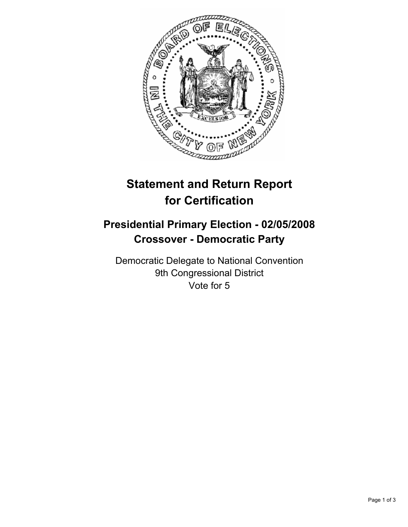

## **Statement and Return Report for Certification**

## **Presidential Primary Election - 02/05/2008 Crossover - Democratic Party**

Democratic Delegate to National Convention 9th Congressional District Vote for 5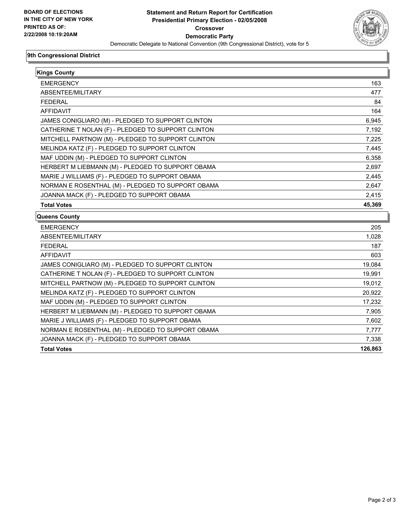

## **9th Congressional District**

| <b>Kings County</b>                                |        |
|----------------------------------------------------|--------|
|                                                    |        |
| ABSENTEE/MILITARY                                  | 477    |
| <b>FEDERAL</b>                                     | 84     |
| <b>AFFIDAVIT</b>                                   | 164    |
| JAMES CONIGLIARO (M) - PLEDGED TO SUPPORT CLINTON  | 6,945  |
| CATHERINE T NOLAN (F) - PLEDGED TO SUPPORT CLINTON | 7,192  |
| MITCHELL PARTNOW (M) - PLEDGED TO SUPPORT CLINTON  | 7,225  |
| MELINDA KATZ (F) - PLEDGED TO SUPPORT CLINTON      | 7,445  |
| MAF UDDIN (M) - PLEDGED TO SUPPORT CLINTON         | 6,358  |
| HERBERT M LIEBMANN (M) - PLEDGED TO SUPPORT OBAMA  | 2,697  |
| MARIE J WILLIAMS (F) - PLEDGED TO SUPPORT OBAMA    | 2,445  |
| NORMAN E ROSENTHAL (M) - PLEDGED TO SUPPORT OBAMA  | 2,647  |
| JOANNA MACK (F) - PLEDGED TO SUPPORT OBAMA         | 2,415  |
| <b>Total Votes</b>                                 | 45,369 |
| <b>Queens County</b>                               |        |
| <b>EMERGENCY</b>                                   | 205    |
| ABSENTEE/MILITARY                                  | 1,028  |
| <b>FEDERAL</b>                                     | 187    |
| <b>AFFIDAVIT</b>                                   | 603    |
| JAMES CONIGLIARO (M) - PLEDGED TO SUPPORT CLINTON  | 19,084 |
| CATHERINE T NOLAN (F) - PLEDGED TO SUPPORT CLINTON | 19,991 |
| MITCHELL PARTNOW (M) - PLEDGED TO SUPPORT CLINTON  | 19,012 |
| MELINDA KATZ (F) - PLEDGED TO SUPPORT CLINTON      | 20,922 |
| MAF UDDIN (M) - PLEDGED TO SUPPORT CLINTON         | 17,232 |
| HERBERT M LIEBMANN (M) - PLEDGED TO SUPPORT OBAMA  | 7,905  |
| MARIE J WILLIAMS (F) - PLEDGED TO SUPPORT OBAMA    | 7,602  |
| NORMAN E ROSENTHAL (M) - PLEDGED TO SUPPORT OBAMA  | 7.777  |

JOANNA MACK (F) - PLEDGED TO SUPPORT OBAMA 7,338

**Total Votes 126,863**